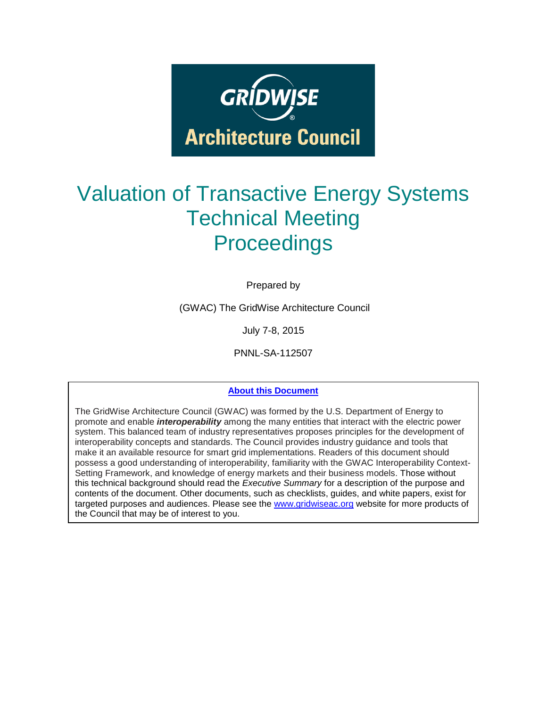

# Valuation of Transactive Energy Systems Technical Meeting **Proceedings**

Prepared by

(GWAC) The GridWise Architecture Council

July 7-8, 2015

PNNL-SA-112507

#### **About this Document**

The GridWise Architecture Council (GWAC) was formed by the U.S. Department of Energy to promote and enable *interoperability* among the many entities that interact with the electric power system. This balanced team of industry representatives proposes principles for the development of interoperability concepts and standards. The Council provides industry guidance and tools that make it an available resource for smart grid implementations. Readers of this document should possess a good understanding of interoperability, familiarity with the GWAC Interoperability Context-Setting Framework, and knowledge of energy markets and their business models. Those without this technical background should read the *Executive Summary* for a description of the purpose and contents of the document. Other documents, such as checklists, guides, and white papers, exist for targeted purposes and audiences. Please see the [www.gridwiseac.org](http://www.gridwiseac.org/) website for more products of the Council that may be of interest to you.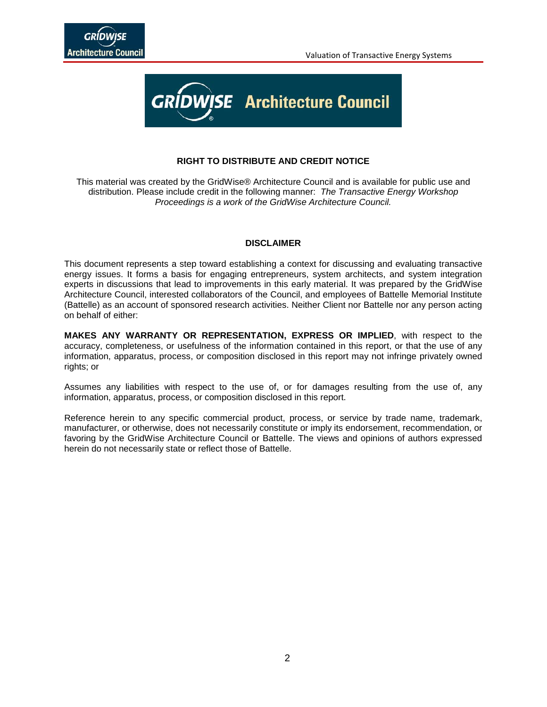

#### **RIGHT TO DISTRIBUTE AND CREDIT NOTICE**

This material was created by the GridWise® Architecture Council and is available for public use and distribution. Please include credit in the following manner: *The Transactive Energy Workshop Proceedings is a work of the GridWise Architecture Council.*

#### **DISCLAIMER**

This document represents a step toward establishing a context for discussing and evaluating transactive energy issues. It forms a basis for engaging entrepreneurs, system architects, and system integration experts in discussions that lead to improvements in this early material. It was prepared by the GridWise Architecture Council, interested collaborators of the Council, and employees of Battelle Memorial Institute (Battelle) as an account of sponsored research activities. Neither Client nor Battelle nor any person acting on behalf of either:

**MAKES ANY WARRANTY OR REPRESENTATION, EXPRESS OR IMPLIED**, with respect to the accuracy, completeness, or usefulness of the information contained in this report, or that the use of any information, apparatus, process, or composition disclosed in this report may not infringe privately owned rights; or

Assumes any liabilities with respect to the use of, or for damages resulting from the use of, any information, apparatus, process, or composition disclosed in this report.

Reference herein to any specific commercial product, process, or service by trade name, trademark, manufacturer, or otherwise, does not necessarily constitute or imply its endorsement, recommendation, or favoring by the GridWise Architecture Council or Battelle. The views and opinions of authors expressed herein do not necessarily state or reflect those of Battelle.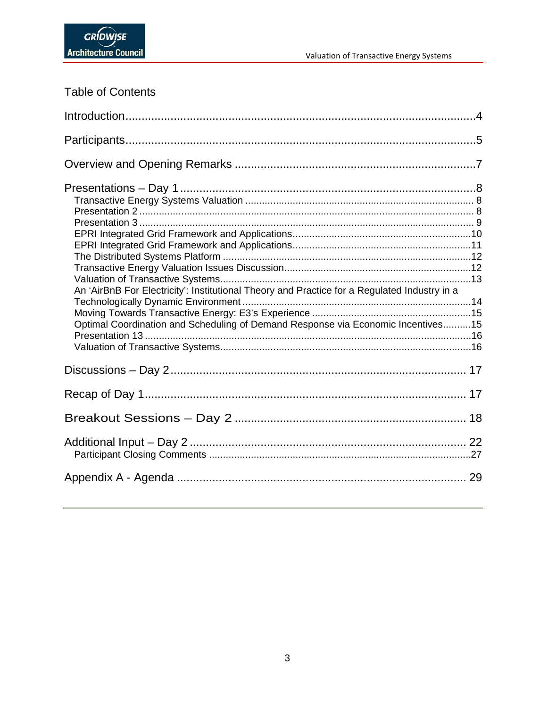| Table of Contents |  |
|-------------------|--|
|-------------------|--|

| An 'AirBnB For Electricity': Institutional Theory and Practice for a Regulated Industry in a<br>Optimal Coordination and Scheduling of Demand Response via Economic Incentives15 |  |
|----------------------------------------------------------------------------------------------------------------------------------------------------------------------------------|--|
|                                                                                                                                                                                  |  |
|                                                                                                                                                                                  |  |
|                                                                                                                                                                                  |  |
|                                                                                                                                                                                  |  |
|                                                                                                                                                                                  |  |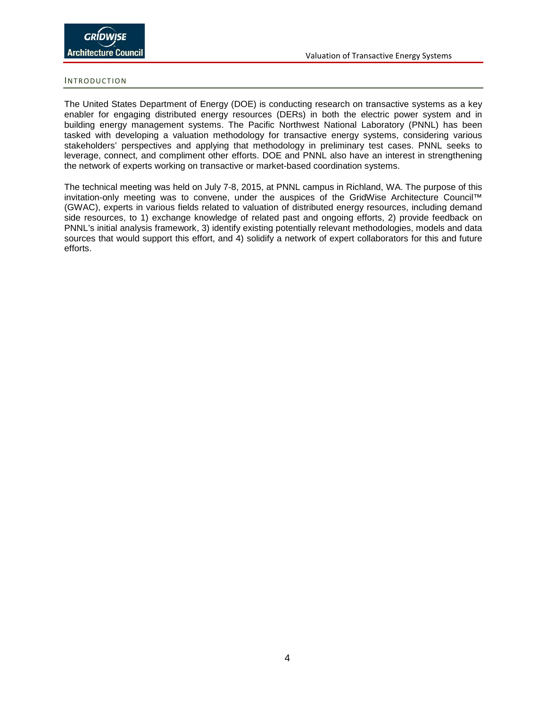#### <span id="page-3-0"></span>INTRODUCTION

The United States Department of Energy (DOE) is conducting research on transactive systems as a key enabler for engaging distributed energy resources (DERs) in both the electric power system and in building energy management systems. The Pacific Northwest National Laboratory (PNNL) has been tasked with developing a valuation methodology for transactive energy systems, considering various stakeholders' perspectives and applying that methodology in preliminary test cases. PNNL seeks to leverage, connect, and compliment other efforts. DOE and PNNL also have an interest in strengthening the network of experts working on transactive or market-based coordination systems.

The technical meeting was held on July 7-8, 2015, at PNNL campus in Richland, WA. The purpose of this invitation-only meeting was to convene, under the auspices of the GridWise Architecture Council™ (GWAC), experts in various fields related to valuation of distributed energy resources, including demand side resources, to 1) exchange knowledge of related past and ongoing efforts, 2) provide feedback on PNNL's initial analysis framework, 3) identify existing potentially relevant methodologies, models and data sources that would support this effort, and 4) solidify a network of expert collaborators for this and future efforts.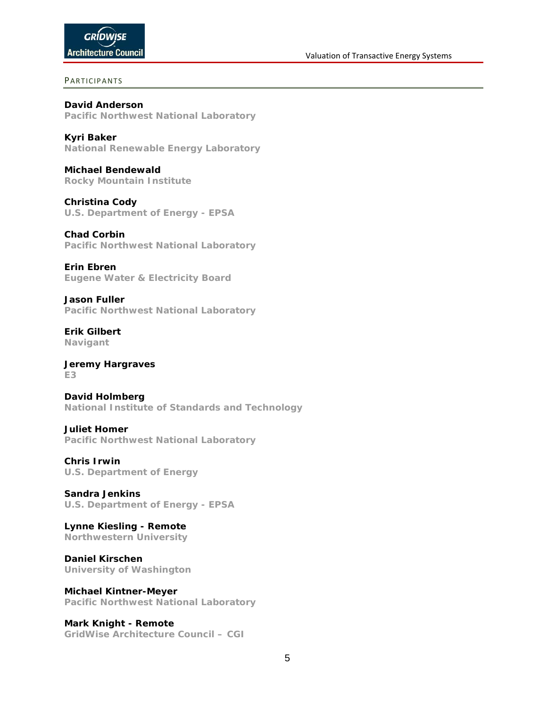#### <span id="page-4-0"></span>PARTICIPANTS

**David Anderson Pacific Northwest National Laboratory**

**Kyri Baker National Renewable Energy Laboratory**

**Michael Bendewald Rocky Mountain Institute**

**Christina Cody U.S. Department of Energy - EPSA**

**Chad Corbin Pacific Northwest National Laboratory**

**Erin Ebren Eugene Water & Electricity Board**

**Jason Fuller Pacific Northwest National Laboratory**

**Erik Gilbert Navigant**

**Jeremy Hargraves E3**

**David Holmberg National Institute of Standards and Technology**

**Juliet Homer Pacific Northwest National Laboratory**

**Chris Irwin U.S. Department of Energy**

**Sandra Jenkins U.S. Department of Energy - EPSA**

**Lynne Kiesling - Remote Northwestern University**

**Daniel Kirschen University of Washington**

**Michael Kintner-Meyer Pacific Northwest National Laboratory**

**Mark Knight - Remote GridWise Architecture Council – CGI**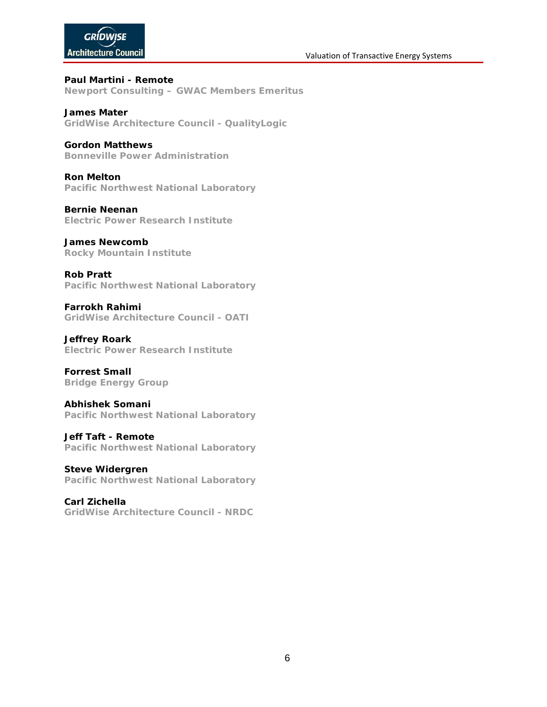#### Valuation of Transactive Energy Systems

# **GRÍDWISE Architecture Council**

**Paul Martini - Remote Newport Consulting – GWAC Members Emeritus**

**James Mater GridWise Architecture Council - QualityLogic**

### **Gordon Matthews**

**Bonneville Power Administration**

**Ron Melton Pacific Northwest National Laboratory**

**Bernie Neenan Electric Power Research Institute**

### **James Newcomb**

**Rocky Mountain Institute**

**Rob Pratt Pacific Northwest National Laboratory**

**Farrokh Rahimi GridWise Architecture Council - OATI**

**Jeffrey Roark Electric Power Research Institute**

**Forrest Small Bridge Energy Group**

### **Abhishek Somani**

**Pacific Northwest National Laboratory**

**Jeff Taft - Remote**

**Pacific Northwest National Laboratory**

**Steve Widergren Pacific Northwest National Laboratory**

**Carl Zichella GridWise Architecture Council - NRDC**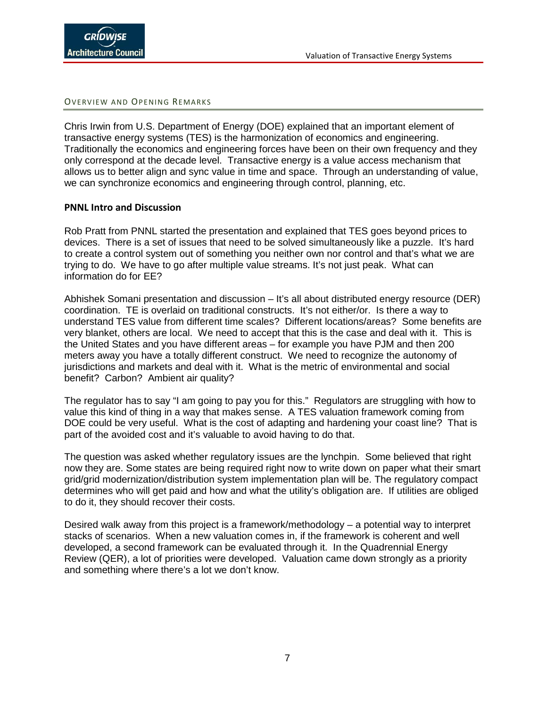<span id="page-6-0"></span>OVERVIEW AND OPENING REMARKS

Chris Irwin from U.S. Department of Energy (DOE) explained that an important element of transactive energy systems (TES) is the harmonization of economics and engineering. Traditionally the economics and engineering forces have been on their own frequency and they only correspond at the decade level. Transactive energy is a value access mechanism that allows us to better align and sync value in time and space. Through an understanding of value, we can synchronize economics and engineering through control, planning, etc.

### **PNNL Intro and Discussion**

Rob Pratt from PNNL started the presentation and explained that TES goes beyond prices to devices. There is a set of issues that need to be solved simultaneously like a puzzle. It's hard to create a control system out of something you neither own nor control and that's what we are trying to do. We have to go after multiple value streams. It's not just peak. What can information do for EE?

Abhishek Somani presentation and discussion – It's all about distributed energy resource (DER) coordination. TE is overlaid on traditional constructs. It's not either/or. Is there a way to understand TES value from different time scales? Different locations/areas? Some benefits are very blanket, others are local. We need to accept that this is the case and deal with it. This is the United States and you have different areas – for example you have PJM and then 200 meters away you have a totally different construct. We need to recognize the autonomy of jurisdictions and markets and deal with it. What is the metric of environmental and social benefit? Carbon? Ambient air quality?

The regulator has to say "I am going to pay you for this." Regulators are struggling with how to value this kind of thing in a way that makes sense. A TES valuation framework coming from DOE could be very useful. What is the cost of adapting and hardening your coast line? That is part of the avoided cost and it's valuable to avoid having to do that.

The question was asked whether regulatory issues are the lynchpin. Some believed that right now they are. Some states are being required right now to write down on paper what their smart grid/grid modernization/distribution system implementation plan will be. The regulatory compact determines who will get paid and how and what the utility's obligation are. If utilities are obliged to do it, they should recover their costs.

Desired walk away from this project is a framework/methodology – a potential way to interpret stacks of scenarios. When a new valuation comes in, if the framework is coherent and well developed, a second framework can be evaluated through it. In the Quadrennial Energy Review (QER), a lot of priorities were developed. Valuation came down strongly as a priority and something where there's a lot we don't know.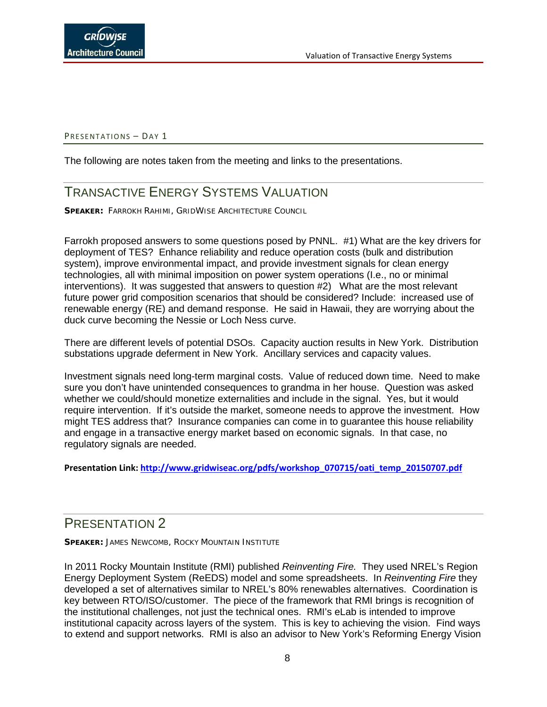#### <span id="page-7-0"></span>PRESENTATIONS - DAY 1

<span id="page-7-1"></span>The following are notes taken from the meeting and links to the presentations.

# TRANSACTIVE ENERGY SYSTEMS VALUATION

**SPEAKER: FARROKH RAHIMI, GRIDWISE ARCHITECTURE COUNCIL** 

Farrokh proposed answers to some questions posed by PNNL. #1) What are the key drivers for deployment of TES? Enhance reliability and reduce operation costs (bulk and distribution system), improve environmental impact, and provide investment signals for clean energy technologies, all with minimal imposition on power system operations (I.e., no or minimal interventions). It was suggested that answers to question #2) What are the most relevant future power grid composition scenarios that should be considered? Include: increased use of renewable energy (RE) and demand response. He said in Hawaii, they are worrying about the duck curve becoming the Nessie or Loch Ness curve.

There are different levels of potential DSOs. Capacity auction results in New York. Distribution substations upgrade deferment in New York. Ancillary services and capacity values.

Investment signals need long-term marginal costs. Value of reduced down time. Need to make sure you don't have unintended consequences to grandma in her house. Question was asked whether we could/should monetize externalities and include in the signal. Yes, but it would require intervention. If it's outside the market, someone needs to approve the investment. How might TES address that? Insurance companies can come in to guarantee this house reliability and engage in a transactive energy market based on economic signals. In that case, no regulatory signals are needed.

**Presentation Link: [http://www.gridwiseac.org/pdfs/workshop\\_070715/oati\\_temp\\_20150707.pdf](http://www.gridwiseac.org/pdfs/workshop_070715/oati_temp_20150707.pdf)**

# <span id="page-7-2"></span>PRESENTATION 2

**SPEAKER: JAMES NEWCOMB, ROCKY MOUNTAIN INSTITUTE** 

In 2011 Rocky Mountain Institute (RMI) published *Reinventing Fire.* They used NREL's Region Energy Deployment System (ReEDS) model and some spreadsheets. In *Reinventing Fire* they developed a set of alternatives similar to NREL's 80% renewables alternatives. Coordination is key between RTO/ISO/customer. The piece of the framework that RMI brings is recognition of the institutional challenges, not just the technical ones. RMI's eLab is intended to improve institutional capacity across layers of the system. This is key to achieving the vision. Find ways to extend and support networks. RMI is also an advisor to New York's Reforming Energy Vision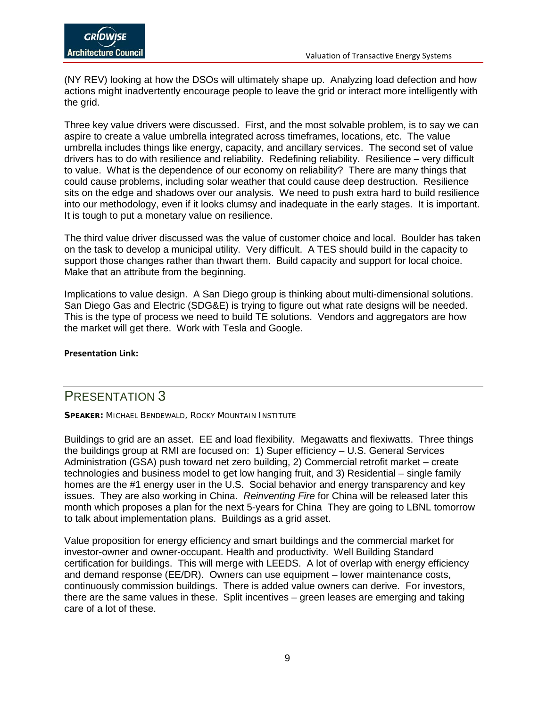(NY REV) looking at how the DSOs will ultimately shape up. Analyzing load defection and how actions might inadvertently encourage people to leave the grid or interact more intelligently with the grid.

Three key value drivers were discussed. First, and the most solvable problem, is to say we can aspire to create a value umbrella integrated across timeframes, locations, etc. The value umbrella includes things like energy, capacity, and ancillary services. The second set of value drivers has to do with resilience and reliability. Redefining reliability. Resilience – very difficult to value. What is the dependence of our economy on reliability? There are many things that could cause problems, including solar weather that could cause deep destruction. Resilience sits on the edge and shadows over our analysis. We need to push extra hard to build resilience into our methodology, even if it looks clumsy and inadequate in the early stages. It is important. It is tough to put a monetary value on resilience.

The third value driver discussed was the value of customer choice and local. Boulder has taken on the task to develop a municipal utility. Very difficult. A TES should build in the capacity to support those changes rather than thwart them. Build capacity and support for local choice. Make that an attribute from the beginning.

Implications to value design. A San Diego group is thinking about multi-dimensional solutions. San Diego Gas and Electric (SDG&E) is trying to figure out what rate designs will be needed. This is the type of process we need to build TE solutions. Vendors and aggregators are how the market will get there. Work with Tesla and Google.

#### **Presentation Link:**

### <span id="page-8-0"></span>PRESENTATION 3

**SPEAKER:** MICHAEL BENDEWALD, ROCKY MOUNTAIN INSTITUTE

Buildings to grid are an asset. EE and load flexibility. Megawatts and flexiwatts. Three things the buildings group at RMI are focused on: 1) Super efficiency – U.S. General Services Administration (GSA) push toward net zero building, 2) Commercial retrofit market – create technologies and business model to get low hanging fruit, and 3) Residential – single family homes are the #1 energy user in the U.S. Social behavior and energy transparency and key issues. They are also working in China. *Reinventing Fire* for China will be released later this month which proposes a plan for the next 5-years for China They are going to LBNL tomorrow to talk about implementation plans. Buildings as a grid asset.

Value proposition for energy efficiency and smart buildings and the commercial market for investor-owner and owner-occupant. Health and productivity. Well Building Standard certification for buildings. This will merge with LEEDS. A lot of overlap with energy efficiency and demand response (EE/DR). Owners can use equipment – lower maintenance costs, continuously commission buildings. There is added value owners can derive. For investors, there are the same values in these. Split incentives – green leases are emerging and taking care of a lot of these.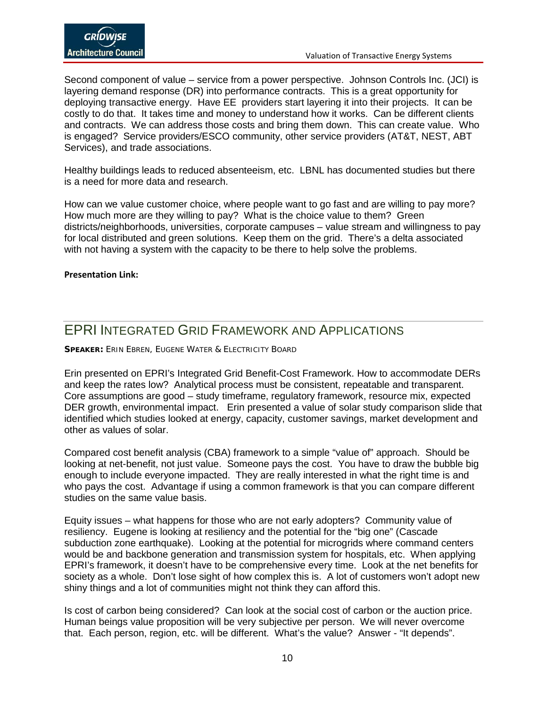Second component of value – service from a power perspective. Johnson Controls Inc. (JCI) is layering demand response (DR) into performance contracts. This is a great opportunity for deploying transactive energy. Have EE providers start layering it into their projects. It can be costly to do that. It takes time and money to understand how it works. Can be different clients and contracts. We can address those costs and bring them down. This can create value. Who is engaged? Service providers/ESCO community, other service providers (AT&T, NEST, ABT Services), and trade associations.

Healthy buildings leads to reduced absenteeism, etc. LBNL has documented studies but there is a need for more data and research.

How can we value customer choice, where people want to go fast and are willing to pay more? How much more are they willing to pay? What is the choice value to them? Green districts/neighborhoods, universities, corporate campuses – value stream and willingness to pay for local distributed and green solutions. Keep them on the grid. There's a delta associated with not having a system with the capacity to be there to help solve the problems.

#### **Presentation Link:**

# <span id="page-9-0"></span>EPRI INTEGRATED GRID FRAMEWORK AND APPLICATIONS

**SPEAKER:** ERIN EBREN, EUGENE WATER & ELECTRICITY BOARD

Erin presented on EPRI's Integrated Grid Benefit-Cost Framework. How to accommodate DERs and keep the rates low? Analytical process must be consistent, repeatable and transparent. Core assumptions are good – study timeframe, regulatory framework, resource mix, expected DER growth, environmental impact. Erin presented a value of solar study comparison slide that identified which studies looked at energy, capacity, customer savings, market development and other as values of solar.

Compared cost benefit analysis (CBA) framework to a simple "value of" approach. Should be looking at net-benefit, not just value. Someone pays the cost. You have to draw the bubble big enough to include everyone impacted. They are really interested in what the right time is and who pays the cost. Advantage if using a common framework is that you can compare different studies on the same value basis.

Equity issues – what happens for those who are not early adopters? Community value of resiliency. Eugene is looking at resiliency and the potential for the "big one" (Cascade subduction zone earthquake). Looking at the potential for microgrids where command centers would be and backbone generation and transmission system for hospitals, etc. When applying EPRI's framework, it doesn't have to be comprehensive every time. Look at the net benefits for society as a whole. Don't lose sight of how complex this is. A lot of customers won't adopt new shiny things and a lot of communities might not think they can afford this.

Is cost of carbon being considered? Can look at the social cost of carbon or the auction price. Human beings value proposition will be very subjective per person. We will never overcome that. Each person, region, etc. will be different. What's the value? Answer - "It depends".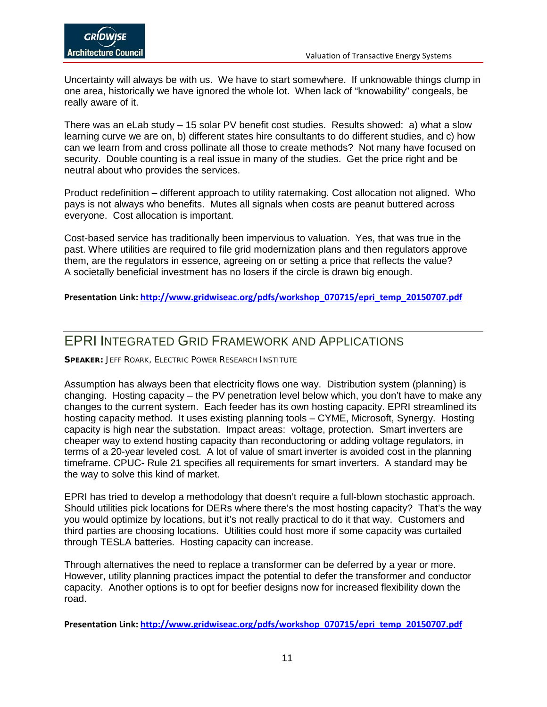Uncertainty will always be with us. We have to start somewhere. If unknowable things clump in one area, historically we have ignored the whole lot. When lack of "knowability" congeals, be really aware of it.

There was an eLab study – 15 solar PV benefit cost studies. Results showed: a) what a slow learning curve we are on, b) different states hire consultants to do different studies, and c) how can we learn from and cross pollinate all those to create methods? Not many have focused on security. Double counting is a real issue in many of the studies. Get the price right and be neutral about who provides the services.

Product redefinition – different approach to utility ratemaking. Cost allocation not aligned. Who pays is not always who benefits. Mutes all signals when costs are peanut buttered across everyone. Cost allocation is important.

Cost-based service has traditionally been impervious to valuation. Yes, that was true in the past. Where utilities are required to file grid modernization plans and then regulators approve them, are the regulators in essence, agreeing on or setting a price that reflects the value? A societally beneficial investment has no losers if the circle is drawn big enough.

**Presentation Link: [http://www.gridwiseac.org/pdfs/workshop\\_070715/epri\\_temp\\_20150707.pdf](http://www.gridwiseac.org/pdfs/workshop_070715/epri_temp_20150707.pdf)**

# <span id="page-10-0"></span>EPRI INTEGRATED GRID FRAMEWORK AND APPLICATIONS

**SPEAKER: JEFF ROARK, ELECTRIC POWER RESEARCH INSTITUTE** 

Assumption has always been that electricity flows one way. Distribution system (planning) is changing. Hosting capacity – the PV penetration level below which, you don't have to make any changes to the current system. Each feeder has its own hosting capacity. EPRI streamlined its hosting capacity method. It uses existing planning tools – CYME, Microsoft, Synergy. Hosting capacity is high near the substation. Impact areas: voltage, protection. Smart inverters are cheaper way to extend hosting capacity than reconductoring or adding voltage regulators, in terms of a 20-year leveled cost. A lot of value of smart inverter is avoided cost in the planning timeframe. CPUC- Rule 21 specifies all requirements for smart inverters. A standard may be the way to solve this kind of market.

EPRI has tried to develop a methodology that doesn't require a full-blown stochastic approach. Should utilities pick locations for DERs where there's the most hosting capacity? That's the way you would optimize by locations, but it's not really practical to do it that way. Customers and third parties are choosing locations. Utilities could host more if some capacity was curtailed through TESLA batteries. Hosting capacity can increase.

Through alternatives the need to replace a transformer can be deferred by a year or more. However, utility planning practices impact the potential to defer the transformer and conductor capacity. Another options is to opt for beefier designs now for increased flexibility down the road.

**Presentation Link: [http://www.gridwiseac.org/pdfs/workshop\\_070715/epri\\_temp\\_20150707.pdf](http://www.gridwiseac.org/pdfs/workshop_070715/epri_temp_20150707.pdf)**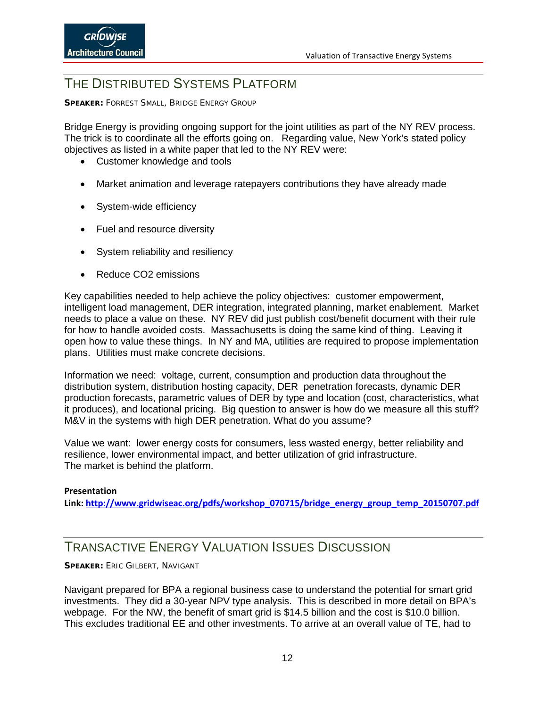# <span id="page-11-0"></span>THE DISTRIBUTED SYSTEMS PLATEORM

**SPEAKER:** FORREST SMALL, BRIDGE ENERGY GROUP

Bridge Energy is providing ongoing support for the joint utilities as part of the NY REV process. The trick is to coordinate all the efforts going on. Regarding value, New York's stated policy objectives as listed in a white paper that led to the NY REV were:

- Customer knowledge and tools
- Market animation and leverage ratepayers contributions they have already made
- System-wide efficiency
- Fuel and resource diversity
- System reliability and resiliency
- Reduce CO2 emissions

Key capabilities needed to help achieve the policy objectives: customer empowerment, intelligent load management, DER integration, integrated planning, market enablement. Market needs to place a value on these. NY REV did just publish cost/benefit document with their rule for how to handle avoided costs. Massachusetts is doing the same kind of thing. Leaving it open how to value these things. In NY and MA, utilities are required to propose implementation plans. Utilities must make concrete decisions.

Information we need: voltage, current, consumption and production data throughout the distribution system, distribution hosting capacity, DER penetration forecasts, dynamic DER production forecasts, parametric values of DER by type and location (cost, characteristics, what it produces), and locational pricing. Big question to answer is how do we measure all this stuff? M&V in the systems with high DER penetration. What do you assume?

Value we want: lower energy costs for consumers, less wasted energy, better reliability and resilience, lower environmental impact, and better utilization of grid infrastructure. The market is behind the platform.

#### **Presentation**

**Link: [http://www.gridwiseac.org/pdfs/workshop\\_070715/bridge\\_energy\\_group\\_temp\\_20150707.pdf](http://www.gridwiseac.org/pdfs/workshop_070715/bridge_energy_group_temp_20150707.pdf)**

# <span id="page-11-1"></span>TRANSACTIVE ENERGY VALUATION ISSUES DISCUSSION

**SPEAKER:** ERIC GILBERT, NAVIGANT

Navigant prepared for BPA a regional business case to understand the potential for smart grid investments. They did a 30-year NPV type analysis. This is described in more detail on BPA's webpage. For the NW, the benefit of smart grid is \$14.5 billion and the cost is \$10.0 billion. This excludes traditional EE and other investments. To arrive at an overall value of TE, had to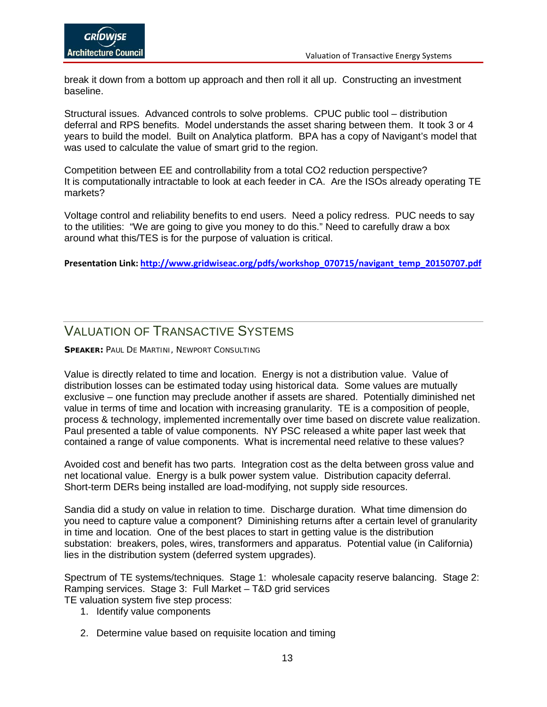break it down from a bottom up approach and then roll it all up. Constructing an investment baseline.

Structural issues. Advanced controls to solve problems. CPUC public tool – distribution deferral and RPS benefits. Model understands the asset sharing between them. It took 3 or 4 years to build the model. Built on Analytica platform. BPA has a copy of Navigant's model that was used to calculate the value of smart grid to the region.

Competition between EE and controllability from a total CO2 reduction perspective? It is computationally intractable to look at each feeder in CA. Are the ISOs already operating TE markets?

Voltage control and reliability benefits to end users. Need a policy redress. PUC needs to say to the utilities: "We are going to give you money to do this." Need to carefully draw a box around what this/TES is for the purpose of valuation is critical.

**Presentation Link: [http://www.gridwiseac.org/pdfs/workshop\\_070715/navigant\\_temp\\_20150707.pdf](http://www.gridwiseac.org/pdfs/workshop_070715/navigant_temp_20150707.pdf)**

# <span id="page-12-0"></span>VALUATION OF TRANSACTIVE SYSTEMS

**SPEAKER:** PAUL DE MARTINI, NEWPORT CONSULTING

Value is directly related to time and location. Energy is not a distribution value. Value of distribution losses can be estimated today using historical data. Some values are mutually exclusive – one function may preclude another if assets are shared. Potentially diminished net value in terms of time and location with increasing granularity. TE is a composition of people, process & technology, implemented incrementally over time based on discrete value realization. Paul presented a table of value components. NY PSC released a white paper last week that contained a range of value components. What is incremental need relative to these values?

Avoided cost and benefit has two parts. Integration cost as the delta between gross value and net locational value. Energy is a bulk power system value. Distribution capacity deferral. Short-term DERs being installed are load-modifying, not supply side resources.

Sandia did a study on value in relation to time. Discharge duration. What time dimension do you need to capture value a component? Diminishing returns after a certain level of granularity in time and location. One of the best places to start in getting value is the distribution substation: breakers, poles, wires, transformers and apparatus. Potential value (in California) lies in the distribution system (deferred system upgrades).

Spectrum of TE systems/techniques. Stage 1: wholesale capacity reserve balancing. Stage 2: Ramping services. Stage 3: Full Market – T&D grid services

TE valuation system five step process:

- 1. Identify value components
- 2. Determine value based on requisite location and timing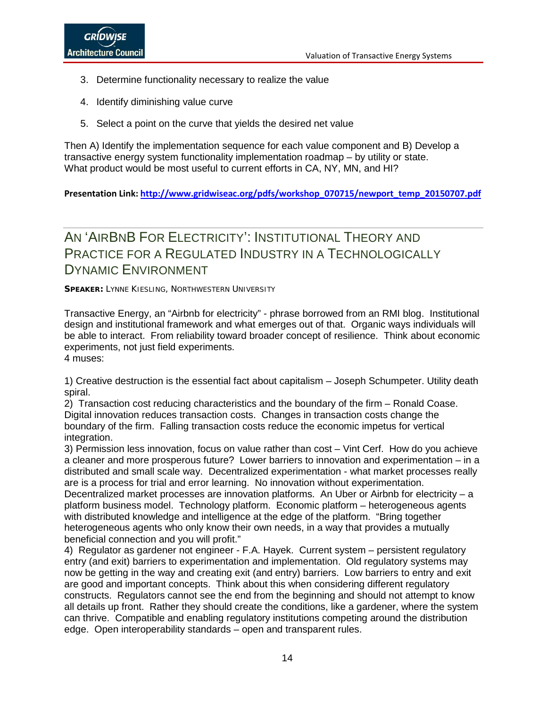- 3. Determine functionality necessary to realize the value
- 4. Identify diminishing value curve
- 5. Select a point on the curve that yields the desired net value

Then A) Identify the implementation sequence for each value component and B) Develop a transactive energy system functionality implementation roadmap – by utility or state. What product would be most useful to current efforts in CA, NY, MN, and HI?

**Presentation Link: [http://www.gridwiseac.org/pdfs/workshop\\_070715/newport\\_temp\\_20150707.pdf](http://www.gridwiseac.org/pdfs/workshop_070715/newport_temp_20150707.pdf)**

# <span id="page-13-0"></span>AN 'AIRBNB FOR ELECTRICITY': INSTITUTIONAL THEORY AND PRACTICE FOR A REGULATED INDUSTRY IN A TECHNOLOGICALLY DYNAMIC ENVIRONMENT

**SPEAKER: LYNNE KIESLING, NORTHWESTERN UNIVERSITY** 

Transactive Energy, an "Airbnb for electricity" - phrase borrowed from an RMI blog. Institutional design and institutional framework and what emerges out of that. Organic ways individuals will be able to interact. From reliability toward broader concept of resilience. Think about economic experiments, not just field experiments. 4 muses:

1) Creative destruction is the essential fact about capitalism – Joseph Schumpeter. Utility death spiral.

2) Transaction cost reducing characteristics and the boundary of the firm – Ronald Coase. Digital innovation reduces transaction costs. Changes in transaction costs change the boundary of the firm. Falling transaction costs reduce the economic impetus for vertical integration.

3) Permission less innovation, focus on value rather than cost – Vint Cerf. How do you achieve a cleaner and more prosperous future? Lower barriers to innovation and experimentation – in a distributed and small scale way. Decentralized experimentation - what market processes really are is a process for trial and error learning. No innovation without experimentation.

Decentralized market processes are innovation platforms. An Uber or Airbnb for electricity – a platform business model. Technology platform. Economic platform – heterogeneous agents with distributed knowledge and intelligence at the edge of the platform. "Bring together heterogeneous agents who only know their own needs, in a way that provides a mutually beneficial connection and you will profit."

4) Regulator as gardener not engineer - F.A. Hayek. Current system – persistent regulatory entry (and exit) barriers to experimentation and implementation. Old regulatory systems may now be getting in the way and creating exit (and entry) barriers. Low barriers to entry and exit are good and important concepts. Think about this when considering different regulatory constructs. Regulators cannot see the end from the beginning and should not attempt to know all details up front. Rather they should create the conditions, like a gardener, where the system can thrive. Compatible and enabling regulatory institutions competing around the distribution edge. Open interoperability standards – open and transparent rules.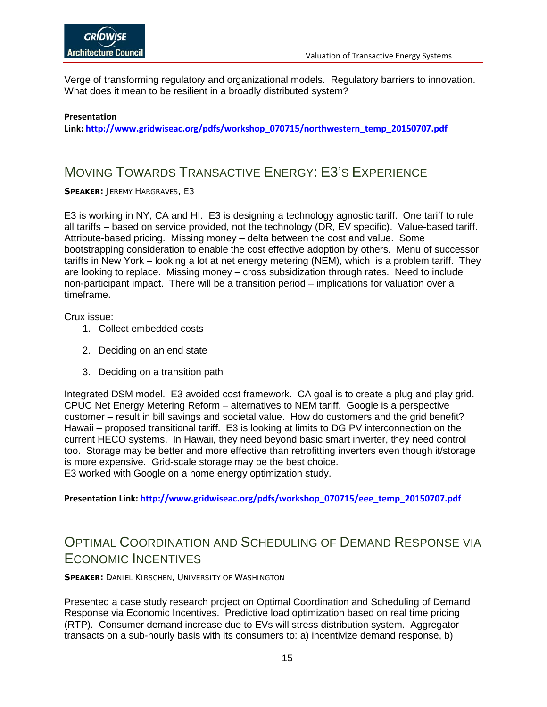Verge of transforming regulatory and organizational models. Regulatory barriers to innovation. What does it mean to be resilient in a broadly distributed system?

#### **Presentation**

**Link: [http://www.gridwiseac.org/pdfs/workshop\\_070715/northwestern\\_temp\\_20150707.pdf](http://www.gridwiseac.org/pdfs/workshop_070715/northwestern_temp_20150707.pdf)**

# <span id="page-14-0"></span>MOVING TOWARDS TRANSACTIVE ENERGY: E3'S EXPERIENCE

**SPEAKER:** JEREMY HARGRAVES, E3

E3 is working in NY, CA and HI. E3 is designing a technology agnostic tariff. One tariff to rule all tariffs – based on service provided, not the technology (DR, EV specific). Value-based tariff. Attribute-based pricing. Missing money – delta between the cost and value. Some bootstrapping consideration to enable the cost effective adoption by others. Menu of successor tariffs in New York – looking a lot at net energy metering (NEM), which is a problem tariff. They are looking to replace. Missing money – cross subsidization through rates. Need to include non-participant impact. There will be a transition period – implications for valuation over a timeframe.

Crux issue:

- 1. Collect embedded costs
- 2. Deciding on an end state
- 3. Deciding on a transition path

Integrated DSM model. E3 avoided cost framework. CA goal is to create a plug and play grid. CPUC Net Energy Metering Reform – alternatives to NEM tariff. Google is a perspective customer – result in bill savings and societal value. How do customers and the grid benefit? Hawaii – proposed transitional tariff. E3 is looking at limits to DG PV interconnection on the current HECO systems. In Hawaii, they need beyond basic smart inverter, they need control too. Storage may be better and more effective than retrofitting inverters even though it/storage is more expensive. Grid-scale storage may be the best choice. E3 worked with Google on a home energy optimization study.

**Presentation Link: [http://www.gridwiseac.org/pdfs/workshop\\_070715/eee\\_temp\\_20150707.pdf](http://www.gridwiseac.org/pdfs/workshop_070715/eee_temp_20150707.pdf)**

# <span id="page-14-1"></span>OPTIMAL COORDINATION AND SCHEDULING OF DEMAND RESPONSE VIA ECONOMIC INCENTIVES

**SPEAKER: DANIEL KIRSCHEN, UNIVERSITY OF WASHINGTON** 

Presented a case study research project on Optimal Coordination and Scheduling of Demand Response via Economic Incentives. Predictive load optimization based on real time pricing (RTP). Consumer demand increase due to EVs will stress distribution system. Aggregator transacts on a sub-hourly basis with its consumers to: a) incentivize demand response, b)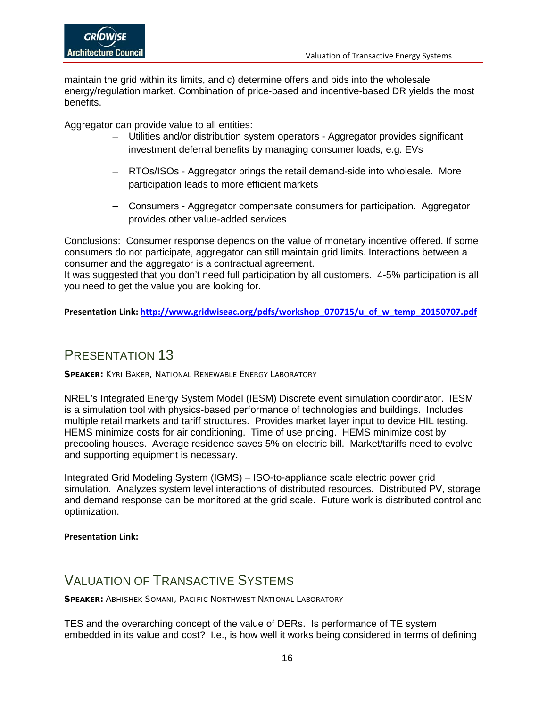maintain the grid within its limits, and c) determine offers and bids into the wholesale energy/regulation market. Combination of price-based and incentive-based DR yields the most benefits.

Aggregator can provide value to all entities:

- Utilities and/or distribution system operators Aggregator provides significant investment deferral benefits by managing consumer loads, e.g. EVs
- RTOs/ISOs Aggregator brings the retail demand-side into wholesale. More participation leads to more efficient markets
- Consumers Aggregator compensate consumers for participation. Aggregator provides other value-added services

Conclusions: Consumer response depends on the value of monetary incentive offered. If some consumers do not participate, aggregator can still maintain grid limits. Interactions between a consumer and the aggregator is a contractual agreement.

It was suggested that you don't need full participation by all customers. 4-5% participation is all you need to get the value you are looking for.

**Presentation Link: [http://www.gridwiseac.org/pdfs/workshop\\_070715/u\\_of\\_w\\_temp\\_20150707.pdf](http://www.gridwiseac.org/pdfs/workshop_070715/u_of_w_temp_20150707.pdf)**

# <span id="page-15-0"></span>PRESENTATION 13

**SPEAKER:** KYRI BAKER, NATIONAL RENEWABLE ENERGY LABORATORY

NREL's Integrated Energy System Model (IESM) Discrete event simulation coordinator. IESM is a simulation tool with physics-based performance of technologies and buildings. Includes multiple retail markets and tariff structures. Provides market layer input to device HIL testing. HEMS minimize costs for air conditioning. Time of use pricing. HEMS minimize cost by precooling houses. Average residence saves 5% on electric bill. Market/tariffs need to evolve and supporting equipment is necessary.

Integrated Grid Modeling System (IGMS) – ISO-to-appliance scale electric power grid simulation. Analyzes system level interactions of distributed resources. Distributed PV, storage and demand response can be monitored at the grid scale. Future work is distributed control and optimization.

#### **Presentation Link:**

# <span id="page-15-1"></span>VALUATION OF TRANSACTIVE SYSTEMS

**SPEAKER:** ABHISHEK SOMANI, PACIFIC NORTHWEST NATIONAL LABORATORY

TES and the overarching concept of the value of DERs. Is performance of TE system embedded in its value and cost? I.e., is how well it works being considered in terms of defining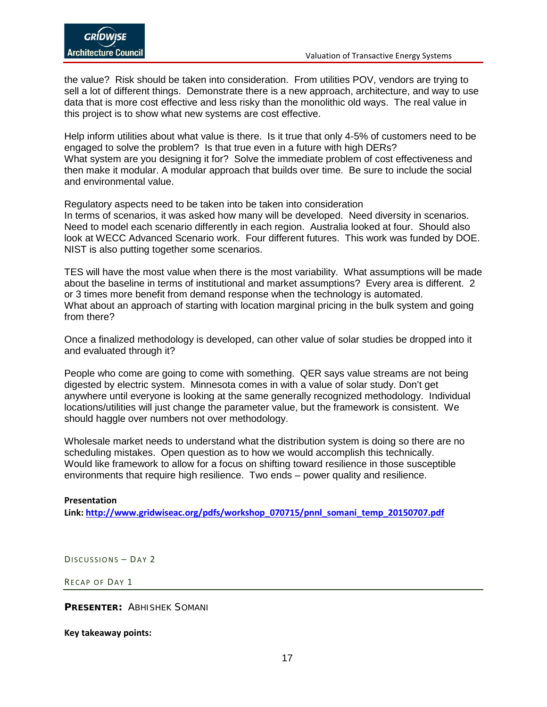the value? Risk should be taken into consideration. From utilities POV, vendors are trying to sell a lot of different things. Demonstrate there is a new approach, architecture, and way to use data that is more cost effective and less risky than the monolithic old ways. The real value in this project is to show what new systems are cost effective.

Help inform utilities about what value is there. Is it true that only 4-5% of customers need to be engaged to solve the problem? Is that true even in a future with high DERs? What system are you designing it for? Solve the immediate problem of cost effectiveness and then make it modular. A modular approach that builds over time. Be sure to include the social and environmental value.

Regulatory aspects need to be taken into be taken into consideration

In terms of scenarios, it was asked how many will be developed. Need diversity in scenarios. Need to model each scenario differently in each region. Australia looked at four. Should also look at WECC Advanced Scenario work. Four different futures. This work was funded by DOE. NIST is also putting together some scenarios.

TES will have the most value when there is the most variability. What assumptions will be made about the baseline in terms of institutional and market assumptions? Every area is different. 2 or 3 times more benefit from demand response when the technology is automated. What about an approach of starting with location marginal pricing in the bulk system and going from there?

Once a finalized methodology is developed, can other value of solar studies be dropped into it and evaluated through it?

People who come are going to come with something. QER says value streams are not being digested by electric system. Minnesota comes in with a value of solar study. Don't get anywhere until everyone is looking at the same generally recognized methodology. Individual locations/utilities will just change the parameter value, but the framework is consistent. We should haggle over numbers not over methodology.

Wholesale market needs to understand what the distribution system is doing so there are no scheduling mistakes. Open question as to how we would accomplish this technically. Would like framework to allow for a focus on shifting toward resilience in those susceptible environments that require high resilience. Two ends – power quality and resilience.

#### **Presentation Link: [http://www.gridwiseac.org/pdfs/workshop\\_070715/pnnl\\_somani\\_temp\\_20150707.pdf](http://www.gridwiseac.org/pdfs/workshop_070715/pnnl_somani_temp_20150707.pdf)**

<span id="page-16-0"></span>DISCUSSIONS – DAY 2

<span id="page-16-1"></span>RECAP OF DAY 1

**PRESENTER:** ABHISHEK SOMANI

**Key takeaway points:**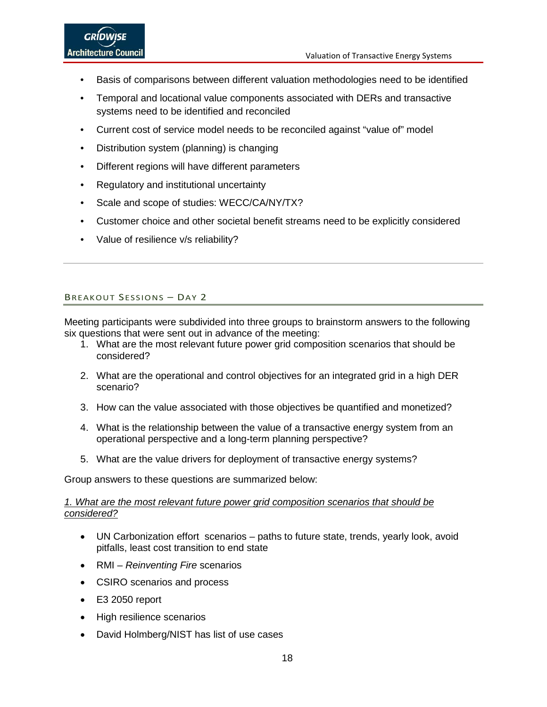- Basis of comparisons between different valuation methodologies need to be identified
- Temporal and locational value components associated with DERs and transactive systems need to be identified and reconciled
- Current cost of service model needs to be reconciled against "value of" model
- Distribution system (planning) is changing
- Different regions will have different parameters
- Regulatory and institutional uncertainty
- Scale and scope of studies: WECC/CA/NY/TX?
- Customer choice and other societal benefit streams need to be explicitly considered
- Value of resilience v/s reliability?

### <span id="page-17-0"></span>BREAKOUT SESSIONS – DAY 2

Meeting participants were subdivided into three groups to brainstorm answers to the following six questions that were sent out in advance of the meeting:

- 1. What are the most relevant future power grid composition scenarios that should be considered?
- 2. What are the operational and control objectives for an integrated grid in a high DER scenario?
- 3. How can the value associated with those objectives be quantified and monetized?
- 4. What is the relationship between the value of a transactive energy system from an operational perspective and a long-term planning perspective?
- 5. What are the value drivers for deployment of transactive energy systems?

Group answers to these questions are summarized below:

#### *1. What are the most relevant future power grid composition scenarios that should be considered?*

- UN Carbonization effort scenarios paths to future state, trends, yearly look, avoid pitfalls, least cost transition to end state
- RMI *Reinventing Fire* scenarios
- CSIRO scenarios and process
- E3 2050 report
- High resilience scenarios
- David Holmberg/NIST has list of use cases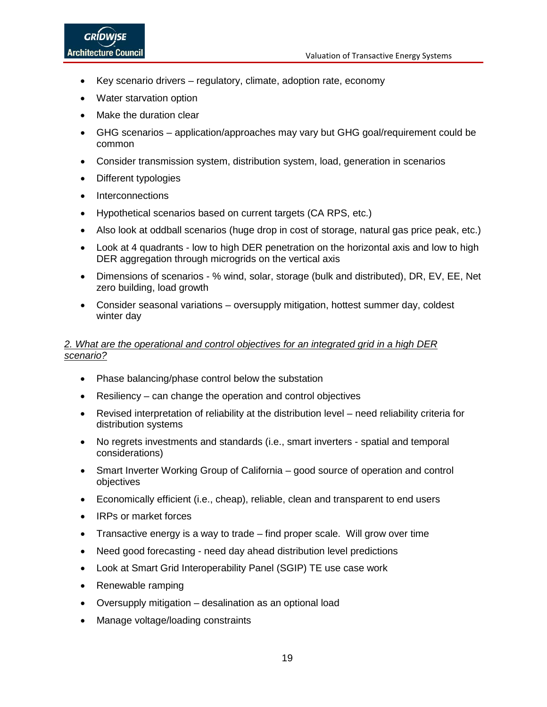- Key scenario drivers regulatory, climate, adoption rate, economy
- Water starvation option
- Make the duration clear
- GHG scenarios application/approaches may vary but GHG goal/requirement could be common
- Consider transmission system, distribution system, load, generation in scenarios
- Different typologies
- Interconnections
- Hypothetical scenarios based on current targets (CA RPS, etc.)
- Also look at oddball scenarios (huge drop in cost of storage, natural gas price peak, etc.)
- Look at 4 quadrants low to high DER penetration on the horizontal axis and low to high DER aggregation through microgrids on the vertical axis
- Dimensions of scenarios % wind, solar, storage (bulk and distributed), DR, EV, EE, Net zero building, load growth
- Consider seasonal variations oversupply mitigation, hottest summer day, coldest winter day

### *2. What are the operational and control objectives for an integrated grid in a high DER scenario?*

- Phase balancing/phase control below the substation
- Resiliency can change the operation and control objectives
- Revised interpretation of reliability at the distribution level need reliability criteria for distribution systems
- No regrets investments and standards (i.e., smart inverters spatial and temporal considerations)
- Smart Inverter Working Group of California good source of operation and control objectives
- Economically efficient (i.e., cheap), reliable, clean and transparent to end users
- IRPs or market forces
- Transactive energy is a way to trade find proper scale. Will grow over time
- Need good forecasting need day ahead distribution level predictions
- Look at Smart Grid Interoperability Panel (SGIP) TE use case work
- Renewable ramping
- Oversupply mitigation desalination as an optional load
- Manage voltage/loading constraints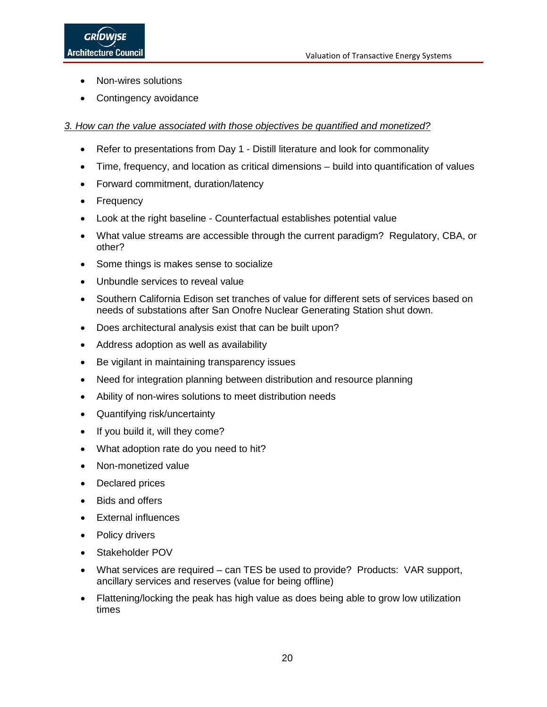- Non-wires solutions
- Contingency avoidance

### *3. How can the value associated with those objectives be quantified and monetized?*

- Refer to presentations from Day 1 Distill literature and look for commonality
- Time, frequency, and location as critical dimensions build into quantification of values
- Forward commitment, duration/latency
- Frequency
- Look at the right baseline Counterfactual establishes potential value
- What value streams are accessible through the current paradigm? Regulatory, CBA, or other?
- Some things is makes sense to socialize
- Unbundle services to reveal value
- Southern California Edison set tranches of value for different sets of services based on needs of substations after San Onofre Nuclear Generating Station shut down.
- Does architectural analysis exist that can be built upon?
- Address adoption as well as availability
- Be vigilant in maintaining transparency issues
- Need for integration planning between distribution and resource planning
- Ability of non-wires solutions to meet distribution needs
- Quantifying risk/uncertainty
- If you build it, will they come?
- What adoption rate do you need to hit?
- Non-monetized value
- Declared prices
- Bids and offers
- External influences
- Policy drivers
- Stakeholder POV
- What services are required can TES be used to provide? Products: VAR support, ancillary services and reserves (value for being offline)
- Flattening/locking the peak has high value as does being able to grow low utilization times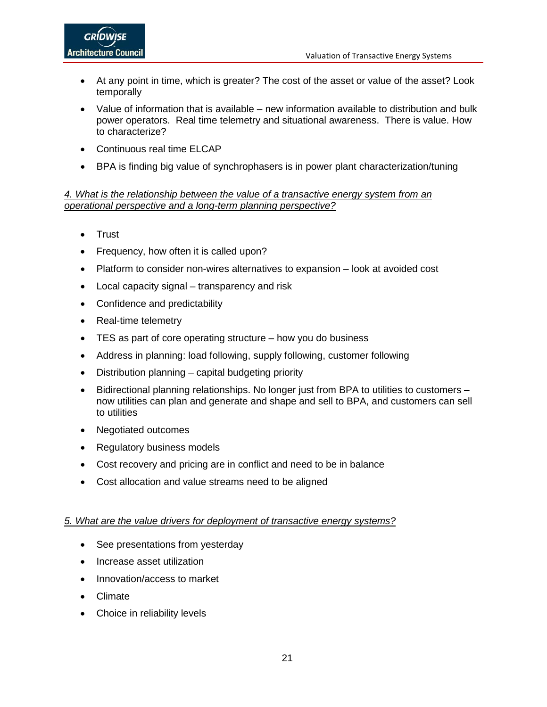- At any point in time, which is greater? The cost of the asset or value of the asset? Look temporally
- Value of information that is available new information available to distribution and bulk power operators. Real time telemetry and situational awareness. There is value. How to characterize?
- Continuous real time ELCAP
- BPA is finding big value of synchrophasers is in power plant characterization/tuning

### *4. What is the relationship between the value of a transactive energy system from an operational perspective and a long-term planning perspective?*

- Trust
- Frequency, how often it is called upon?
- Platform to consider non-wires alternatives to expansion look at avoided cost
- Local capacity signal transparency and risk
- Confidence and predictability
- Real-time telemetry
- TES as part of core operating structure how you do business
- Address in planning: load following, supply following, customer following
- Distribution planning capital budgeting priority
- Bidirectional planning relationships. No longer just from BPA to utilities to customers now utilities can plan and generate and shape and sell to BPA, and customers can sell to utilities
- Negotiated outcomes
- Regulatory business models
- Cost recovery and pricing are in conflict and need to be in balance
- Cost allocation and value streams need to be aligned

### *5. What are the value drivers for deployment of transactive energy systems?*

- See presentations from yesterday
- Increase asset utilization
- Innovation/access to market
- Climate
- Choice in reliability levels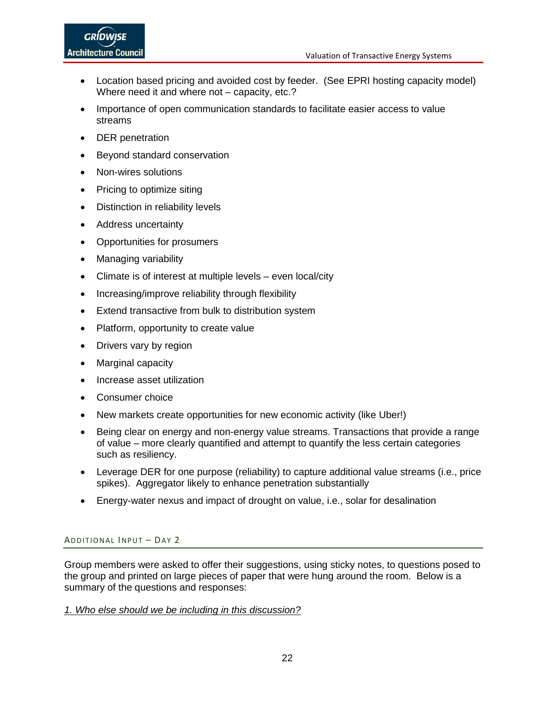- Location based pricing and avoided cost by feeder. (See EPRI hosting capacity model) Where need it and where not – capacity, etc.?
- Importance of open communication standards to facilitate easier access to value streams
- DER penetration
- Beyond standard conservation
- Non-wires solutions
- Pricing to optimize siting
- Distinction in reliability levels
- Address uncertainty
- Opportunities for prosumers
- Managing variability
- Climate is of interest at multiple levels even local/city
- Increasing/improve reliability through flexibility
- Extend transactive from bulk to distribution system
- Platform, opportunity to create value
- Drivers vary by region
- Marginal capacity
- Increase asset utilization
- Consumer choice
- New markets create opportunities for new economic activity (like Uber!)
- Being clear on energy and non-energy value streams. Transactions that provide a range of value – more clearly quantified and attempt to quantify the less certain categories such as resiliency.
- Leverage DER for one purpose (reliability) to capture additional value streams (i.e., price spikes). Aggregator likely to enhance penetration substantially
- Energy-water nexus and impact of drought on value, i.e., solar for desalination

### <span id="page-21-0"></span>ADDITIONAL INPUT – DAY 2

Group members were asked to offer their suggestions, using sticky notes, to questions posed to the group and printed on large pieces of paper that were hung around the room. Below is a summary of the questions and responses:

#### *1. Who else should we be including in this discussion?*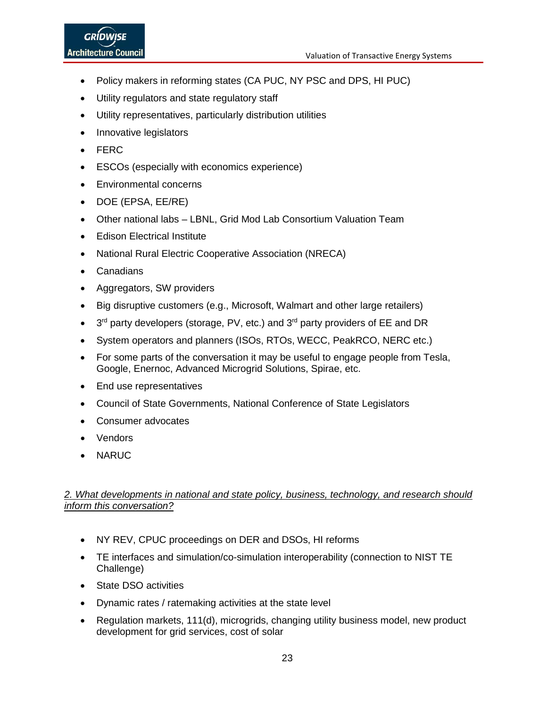- Policy makers in reforming states (CA PUC, NY PSC and DPS, HI PUC)
- Utility regulators and state regulatory staff
- Utility representatives, particularly distribution utilities
- Innovative legislators
- FERC
- ESCOs (especially with economics experience)
- Environmental concerns
- DOE (EPSA, EE/RE)
- Other national labs LBNL, Grid Mod Lab Consortium Valuation Team
- Edison Electrical Institute
- National Rural Electric Cooperative Association (NRECA)
- Canadians
- Aggregators, SW providers
- Big disruptive customers (e.g., Microsoft, Walmart and other large retailers)
- $3<sup>rd</sup>$  party developers (storage, PV, etc.) and  $3<sup>rd</sup>$  party providers of EE and DR
- System operators and planners (ISOs, RTOs, WECC, PeakRCO, NERC etc.)
- For some parts of the conversation it may be useful to engage people from Tesla, Google, Enernoc, Advanced Microgrid Solutions, Spirae, etc.
- End use representatives
- Council of State Governments, National Conference of State Legislators
- Consumer advocates
- Vendors
- NARUC

### *2. What developments in national and state policy, business, technology, and research should inform this conversation?*

- NY REV, CPUC proceedings on DER and DSOs, HI reforms
- TE interfaces and simulation/co-simulation interoperability (connection to NIST TE Challenge)
- State DSO activities
- Dynamic rates / ratemaking activities at the state level
- Regulation markets, 111(d), microgrids, changing utility business model, new product development for grid services, cost of solar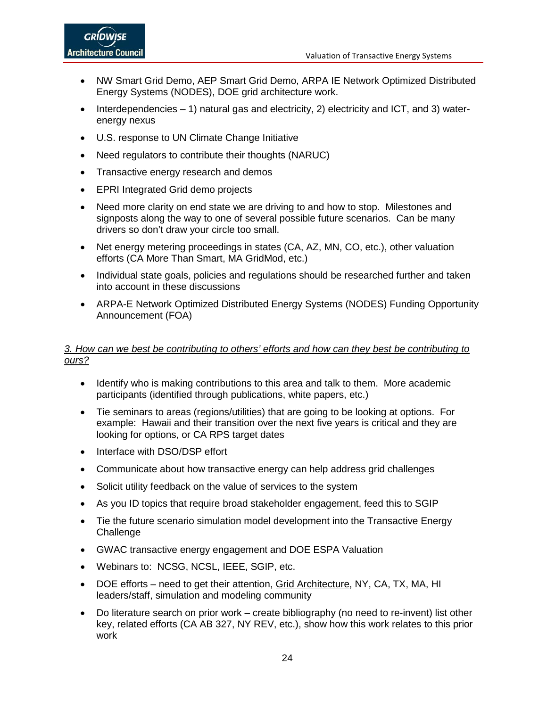- NW Smart Grid Demo, AEP Smart Grid Demo, ARPA IE Network Optimized Distributed Energy Systems (NODES), DOE grid architecture work.
- Interdependencies  $-1$ ) natural gas and electricity, 2) electricity and ICT, and 3) waterenergy nexus
- U.S. response to UN Climate Change Initiative
- Need regulators to contribute their thoughts (NARUC)
- Transactive energy research and demos
- EPRI Integrated Grid demo projects
- Need more clarity on end state we are driving to and how to stop. Milestones and signposts along the way to one of several possible future scenarios. Can be many drivers so don't draw your circle too small.
- Net energy metering proceedings in states (CA, AZ, MN, CO, etc.), other valuation efforts (CA More Than Smart, MA GridMod, etc.)
- Individual state goals, policies and regulations should be researched further and taken into account in these discussions
- ARPA-E Network Optimized Distributed Energy Systems (NODES) Funding Opportunity Announcement (FOA)

### *3. How can we best be contributing to others' efforts and how can they best be contributing to ours?*

- Identify who is making contributions to this area and talk to them. More academic participants (identified through publications, white papers, etc.)
- Tie seminars to areas (regions/utilities) that are going to be looking at options. For example: Hawaii and their transition over the next five years is critical and they are looking for options, or CA RPS target dates
- Interface with DSO/DSP effort
- Communicate about how transactive energy can help address grid challenges
- Solicit utility feedback on the value of services to the system
- As you ID topics that require broad stakeholder engagement, feed this to SGIP
- Tie the future scenario simulation model development into the Transactive Energy **Challenge**
- GWAC transactive energy engagement and DOE ESPA Valuation
- Webinars to: NCSG, NCSL, IEEE, SGIP, etc.
- DOE efforts need to get their attention, Grid Architecture, NY, CA, TX, MA, HI leaders/staff, simulation and modeling community
- Do literature search on prior work create bibliography (no need to re-invent) list other key, related efforts (CA AB 327, NY REV, etc.), show how this work relates to this prior work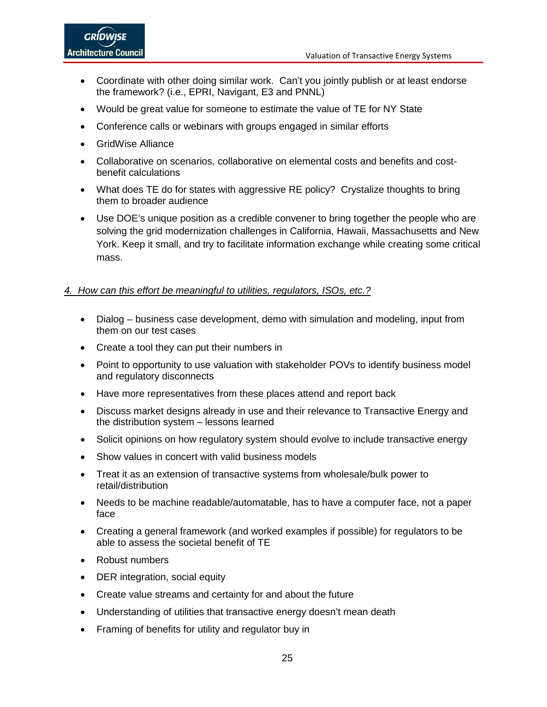- Coordinate with other doing similar work. Can't you jointly publish or at least endorse the framework? (i.e., EPRI, Navigant, E3 and PNNL)
- Would be great value for someone to estimate the value of TE for NY State
- Conference calls or webinars with groups engaged in similar efforts
- GridWise Alliance
- Collaborative on scenarios, collaborative on elemental costs and benefits and costbenefit calculations
- What does TE do for states with aggressive RE policy? Crystalize thoughts to bring them to broader audience
- Use DOE's unique position as a credible convener to bring together the people who are solving the grid modernization challenges in California, Hawaii, Massachusetts and New York. Keep it small, and try to facilitate information exchange while creating some critical mass.

### *4. How can this effort be meaningful to utilities, regulators, ISOs, etc.?*

- Dialog business case development, demo with simulation and modeling, input from them on our test cases
- Create a tool they can put their numbers in
- Point to opportunity to use valuation with stakeholder POVs to identify business model and regulatory disconnects
- Have more representatives from these places attend and report back
- Discuss market designs already in use and their relevance to Transactive Energy and the distribution system – lessons learned
- Solicit opinions on how regulatory system should evolve to include transactive energy
- Show values in concert with valid business models
- Treat it as an extension of transactive systems from wholesale/bulk power to retail/distribution
- Needs to be machine readable/automatable, has to have a computer face, not a paper face
- Creating a general framework (and worked examples if possible) for regulators to be able to assess the societal benefit of TE
- Robust numbers
- DER integration, social equity
- Create value streams and certainty for and about the future
- Understanding of utilities that transactive energy doesn't mean death
- Framing of benefits for utility and regulator buy in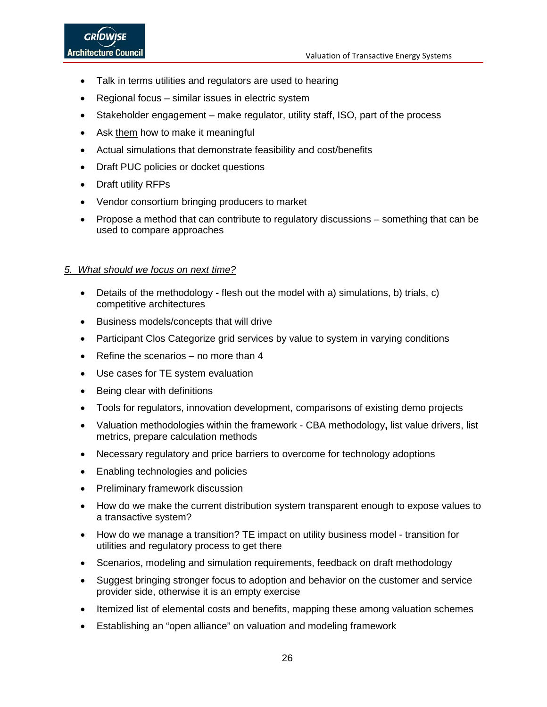- Talk in terms utilities and regulators are used to hearing
- Regional focus similar issues in electric system
- Stakeholder engagement make regulator, utility staff, ISO, part of the process
- Ask them how to make it meaningful
- Actual simulations that demonstrate feasibility and cost/benefits
- Draft PUC policies or docket questions
- Draft utility RFPs
- Vendor consortium bringing producers to market
- Propose a method that can contribute to regulatory discussions something that can be used to compare approaches

### *5. What should we focus on next time?*

- Details of the methodology **-** flesh out the model with a) simulations, b) trials, c) competitive architectures
- Business models/concepts that will drive
- Participant Clos Categorize grid services by value to system in varying conditions
- Refine the scenarios no more than 4
- Use cases for TE system evaluation
- Being clear with definitions
- Tools for regulators, innovation development, comparisons of existing demo projects
- Valuation methodologies within the framework CBA methodology**,** list value drivers, list metrics, prepare calculation methods
- Necessary regulatory and price barriers to overcome for technology adoptions
- Enabling technologies and policies
- Preliminary framework discussion
- How do we make the current distribution system transparent enough to expose values to a transactive system?
- How do we manage a transition? TE impact on utility business model transition for utilities and regulatory process to get there
- Scenarios, modeling and simulation requirements, feedback on draft methodology
- Suggest bringing stronger focus to adoption and behavior on the customer and service provider side, otherwise it is an empty exercise
- Itemized list of elemental costs and benefits, mapping these among valuation schemes
- Establishing an "open alliance" on valuation and modeling framework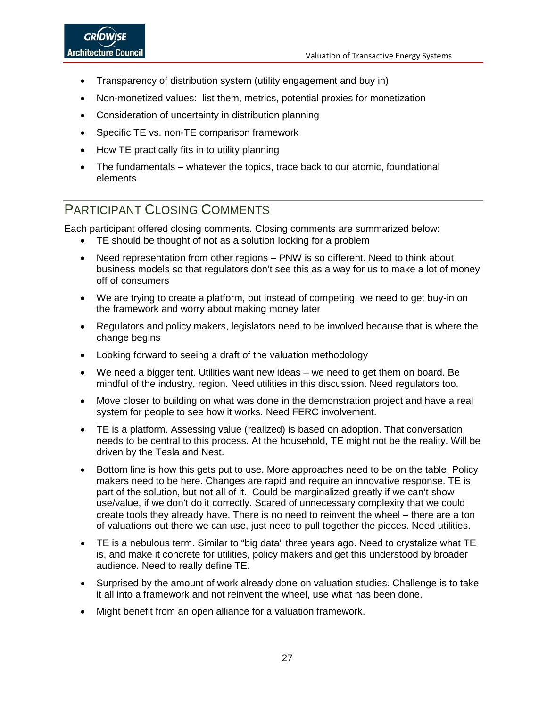- Transparency of distribution system (utility engagement and buy in)
- Non-monetized values: list them, metrics, potential proxies for monetization
- Consideration of uncertainty in distribution planning
- Specific TE vs. non-TE comparison framework
- How TE practically fits in to utility planning
- The fundamentals whatever the topics, trace back to our atomic, foundational elements

# <span id="page-26-0"></span>PARTICIPANT CLOSING COMMENTS

Each participant offered closing comments. Closing comments are summarized below:

- TE should be thought of not as a solution looking for a problem
- Need representation from other regions PNW is so different. Need to think about business models so that regulators don't see this as a way for us to make a lot of money off of consumers
- We are trying to create a platform, but instead of competing, we need to get buy-in on the framework and worry about making money later
- Regulators and policy makers, legislators need to be involved because that is where the change begins
- Looking forward to seeing a draft of the valuation methodology
- We need a bigger tent. Utilities want new ideas we need to get them on board. Be mindful of the industry, region. Need utilities in this discussion. Need regulators too.
- Move closer to building on what was done in the demonstration project and have a real system for people to see how it works. Need FERC involvement.
- TE is a platform. Assessing value (realized) is based on adoption. That conversation needs to be central to this process. At the household, TE might not be the reality. Will be driven by the Tesla and Nest.
- Bottom line is how this gets put to use. More approaches need to be on the table. Policy makers need to be here. Changes are rapid and require an innovative response. TE is part of the solution, but not all of it. Could be marginalized greatly if we can't show use/value, if we don't do it correctly. Scared of unnecessary complexity that we could create tools they already have. There is no need to reinvent the wheel – there are a ton of valuations out there we can use, just need to pull together the pieces. Need utilities.
- TE is a nebulous term. Similar to "big data" three years ago. Need to crystalize what TE is, and make it concrete for utilities, policy makers and get this understood by broader audience. Need to really define TE.
- Surprised by the amount of work already done on valuation studies. Challenge is to take it all into a framework and not reinvent the wheel, use what has been done.
- Might benefit from an open alliance for a valuation framework.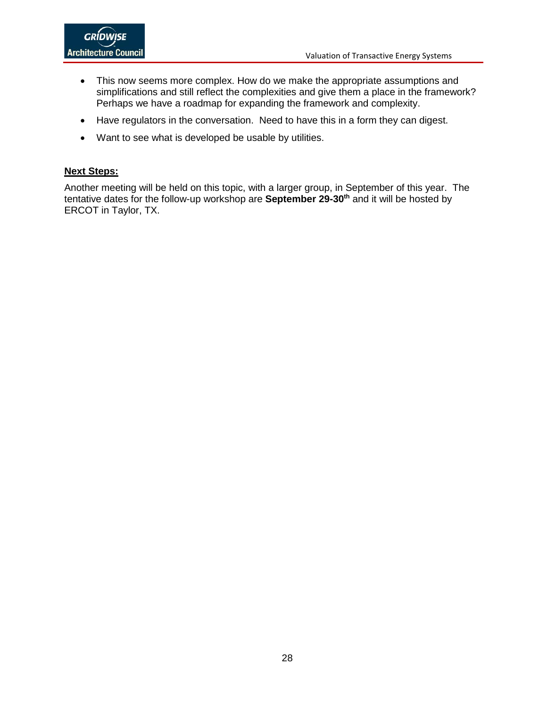- This now seems more complex. How do we make the appropriate assumptions and simplifications and still reflect the complexities and give them a place in the framework? Perhaps we have a roadmap for expanding the framework and complexity.
- Have regulators in the conversation. Need to have this in a form they can digest.
- Want to see what is developed be usable by utilities.

### **Next Steps:**

Another meeting will be held on this topic, with a larger group, in September of this year. The tentative dates for the follow-up workshop are **September 29-30th** and it will be hosted by ERCOT in Taylor, TX.